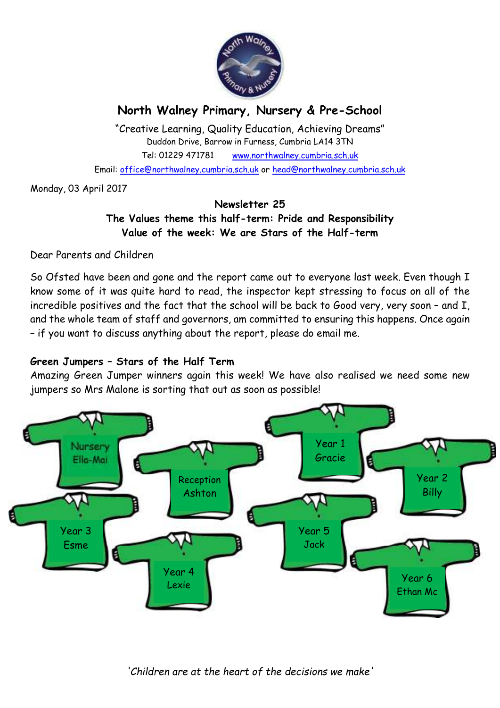

# **North Walney Primary, Nursery & Pre-School**

"Creative Learning, Quality Education, Achieving Dreams" Duddon Drive, Barrow in Furness, Cumbria LA14 3TN Tel: 01229 471781 www.northwalney.cumbria.sch.uk Email: office@northwalney.cumbria.sch.uk or head@northwalney.cumbria.sch.uk

Monday, 03 April 2017

## **Newsletter 25 The Values theme this half-term: Pride and Responsibility Value of the week: We are Stars of the Half-term**

Dear Parents and Children

So Ofsted have been and gone and the report came out to everyone last week. Even though I know some of it was quite hard to read, the inspector kept stressing to focus on all of the incredible positives and the fact that the school will be back to Good very, very soon – and I, and the whole team of staff and governors, am committed to ensuring this happens. Once again – if you want to discuss anything about the report, please do email me.

## **Green Jumpers – Stars of the Half Term**

Amazing Green Jumper winners again this week! We have also realised we need some new jumpers so Mrs Malone is sorting that out as soon as possible!

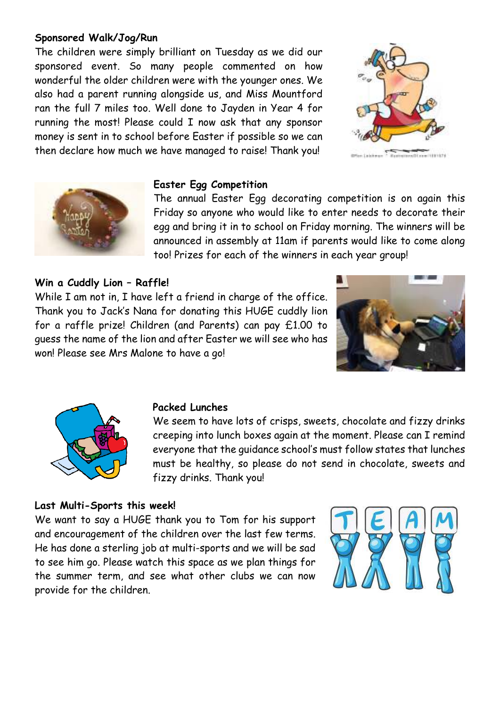## **Sponsored Walk/Jog/Run**

The children were simply brilliant on Tuesday as we did our sponsored event. So many people commented on how wonderful the older children were with the younger ones. We also had a parent running alongside us, and Miss Mountford ran the full 7 miles too. Well done to Jayden in Year 4 for running the most! Please could I now ask that any sponsor money is sent in to school before Easter if possible so we can then declare how much we have managed to raise! Thank you!



For Lightman - Representation (18192)



#### **Easter Egg Competition**

The annual Easter Egg decorating competition is on again this Friday so anyone who would like to enter needs to decorate their egg and bring it in to school on Friday morning. The winners will be announced in assembly at 11am if parents would like to come along too! Prizes for each of the winners in each year group!

## **Win a Cuddly Lion – Raffle!**

While I am not in, I have left a friend in charge of the office. Thank you to Jack's Nana for donating this HUGE cuddly lion for a raffle prize! Children (and Parents) can pay £1.00 to guess the name of the lion and after Easter we will see who has won! Please see Mrs Malone to have a go!





#### **Packed Lunches**

We seem to have lots of crisps, sweets, chocolate and fizzy drinks creeping into lunch boxes again at the moment. Please can I remind everyone that the guidance school's must follow states that lunches must be healthy, so please do not send in chocolate, sweets and fizzy drinks. Thank you!

#### **Last Multi-Sports this week!**

We want to say a HUGE thank you to Tom for his support and encouragement of the children over the last few terms. He has done a sterling job at multi-sports and we will be sad to see him go. Please watch this space as we plan things for the summer term, and see what other clubs we can now provide for the children.